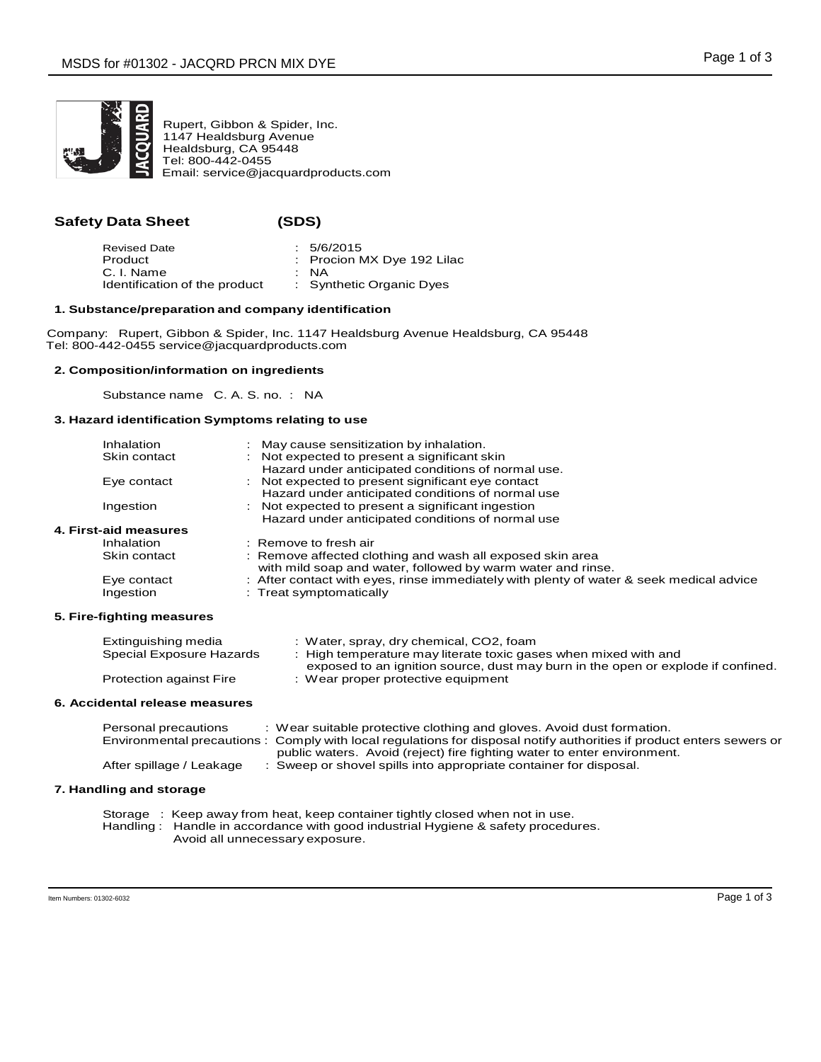

Rupert, Gibbon & Spider, Inc. 1147 Healdsburg Avenue Healdsburg, CA 95448 Tel: 800-442-0455 Email: service@jacquardproducts.com

# **Safety Data Sheet** (S)

| I<br>. .<br>v<br>۹ |  |
|--------------------|--|
|--------------------|--|

| <b>Revised Date</b>           | : 5/6/2015                 |
|-------------------------------|----------------------------|
| Product                       | : Procion MX Dye 192 Lilac |
| C. I. Name                    | : NA                       |
| Identification of the product | : Synthetic Organic Dyes   |

## **1. Substance/preparation and company identification**

Company: Rupert, Gibbon & Spider, Inc. 1147 Healdsburg Avenue Healdsburg, CA 95448 Tel: 800-442-0455 service@jacquardproducts.com

## **2. Composition/information on ingredients**

Substance name C. A. S. no. : NA

## **3. Hazard identification Symptoms relating to use**

| Inhalation            | : May cause sensitization by inhalation.                                                |
|-----------------------|-----------------------------------------------------------------------------------------|
| Skin contact          | : Not expected to present a significant skin                                            |
|                       | Hazard under anticipated conditions of normal use.                                      |
| Eye contact           | : Not expected to present significant eye contact                                       |
|                       | Hazard under anticipated conditions of normal use                                       |
| Ingestion             | : Not expected to present a significant ingestion                                       |
|                       | Hazard under anticipated conditions of normal use                                       |
| 4. First-aid measures |                                                                                         |
| Inhalation            | $:$ Remove to fresh air                                                                 |
| Skin contact          | : Remove affected clothing and wash all exposed skin area                               |
|                       | with mild soap and water, followed by warm water and rinse.                             |
| Eye contact           | : After contact with eyes, rinse immediately with plenty of water & seek medical advice |
| Ingestion             | : Treat symptomatically                                                                 |
|                       |                                                                                         |

## **5. Fire-fighting measures**

| Extinguishing media            | : Water, spray, dry chemical, CO2, foam                                          |
|--------------------------------|----------------------------------------------------------------------------------|
| Special Exposure Hazards       | : High temperature may literate toxic gases when mixed with and                  |
|                                | exposed to an ignition source, dust may burn in the open or explode if confined. |
| <b>Protection against Fire</b> | : Wear proper protective equipment                                               |

### **6. Accidental release measures**

| Personal precautions     | : Wear suitable protective clothing and gloves. Avoid dust formation.                                                |
|--------------------------|----------------------------------------------------------------------------------------------------------------------|
|                          | Environmental precautions: Comply with local regulations for disposal notify authorities if product enters sewers or |
|                          | public waters. Avoid (reject) fire fighting water to enter environment.                                              |
| After spillage / Leakage | : Sweep or shovel spills into appropriate container for disposal.                                                    |

## **7. Handling and storage**

Storage : Keep away from heat, keep container tightly closed when not in use. Handling : Handle in accordance with good industrial Hygiene & safety procedures. Avoid all unnecessary exposure.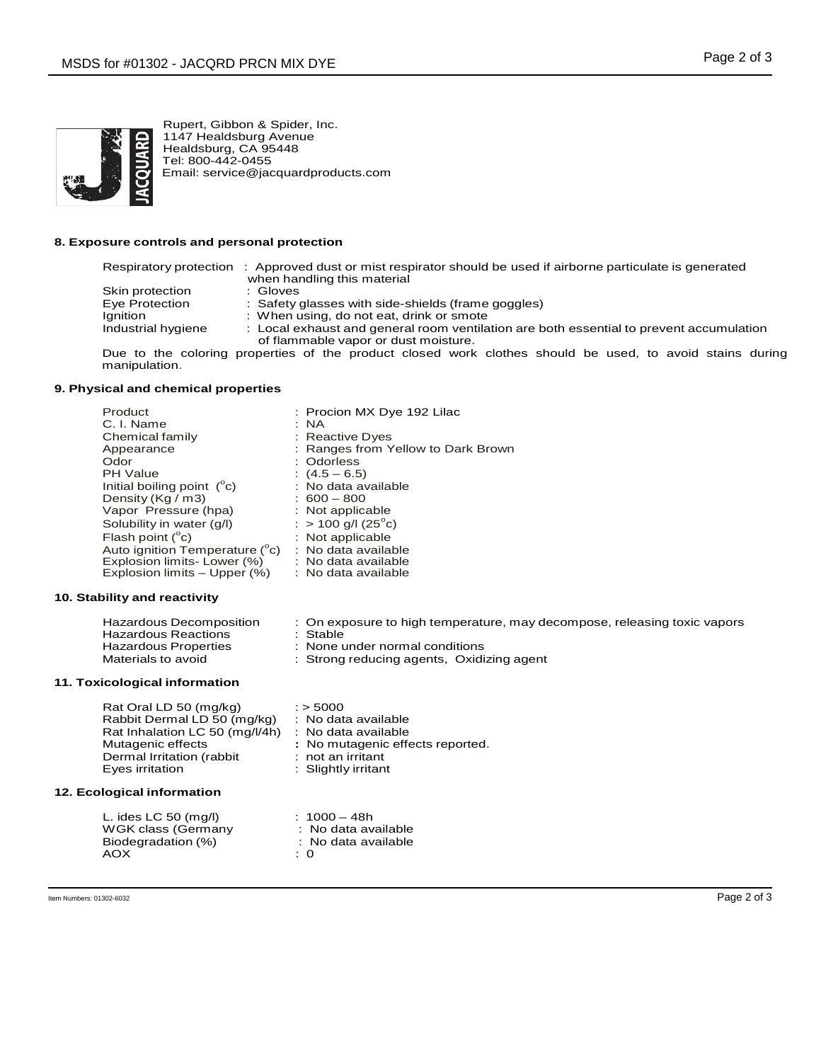

Rupert, Gibbon & Spider, Inc. 1147 Healdsburg Avenue Healdsburg, CA 95448 Tel: 800-442-0455 Email: service@jacquardproducts.com

## **8. Exposure controls and personal protection**

# Respiratory protection : Approved dust or mist respirator should be used if airborne particulate is generated

- when handling this material<br>: Gloves Skin protection<br>Eye Protection Eye Protection : Safety glasses with side-shields (frame goggles)<br>Ignition : When using, do not eat, drink or smote Ignition : When using, do not eat, drink or smote<br>Industrial hygiene : Local exhaust and general room ventila
	- : Local exhaust and general room ventilation are both essential to prevent accumulation of flammable vapor or dust moisture.

Due to the coloring properties of the product closed work clothes should be used, to avoid stains during manipulation.

## **9. Physical and chemical properties**

| Product                             | : Procion MX Dye 192 Lilac         |
|-------------------------------------|------------------------------------|
| C. I. Name                          | : NA                               |
| Chemical family                     | : Reactive Dyes                    |
| Appearance                          | : Ranges from Yellow to Dark Brown |
| Odor                                | : Odorless                         |
| <b>PH Value</b>                     | $(4.5 - 6.5)$                      |
| Initial boiling point $(^{\circ}c)$ | : No data available                |
| Density (Kg / m3)                   | $: 600 - 800$                      |
| Vapor Pressure (hpa)                | : Not applicable                   |
| Solubility in water (g/l)           | : $> 100$ g/l (25 <sup>o</sup> c)  |
| Flash point $(^{\circ}c)$           | : Not applicable                   |
| Auto ignition Temperature (°c)      | : No data available                |
| Explosion limits- Lower (%)         | : No data available                |
| Explosion limits – Upper (%)        | : No data available                |

### **10. Stability and reactivity**

| Hazardous Decomposition | : On exposure to high temperature, may decompose, releasing toxic vapors |
|-------------------------|--------------------------------------------------------------------------|
| Hazardous Reactions     | ∴ Stable                                                                 |
| Hazardous Properties    | : None under normal conditions                                           |
| Materials to avoid      | : Strong reducing agents, Oxidizing agent                                |

### **11. Toxicological information**

| Rat Oral LD 50 (mg/kg)         | $:$ > 5000                       |
|--------------------------------|----------------------------------|
| Rabbit Dermal LD 50 (mg/kg)    | : No data available              |
| Rat Inhalation LC 50 (mg/l/4h) | : No data available              |
| Mutagenic effects              | : No mutagenic effects reported. |
| Dermal Irritation (rabbit      | $:$ not an irritant              |
| Eyes irritation                | : Slightly irritant              |

### **12. Ecological information**

| L. ides LC 50 $(mq/l)$ | $: 1000 - 48h$      |
|------------------------|---------------------|
| WGK class (Germany     | : No data available |
| Biodegradation (%)     | : No data available |
| AOX                    | : 0                 |